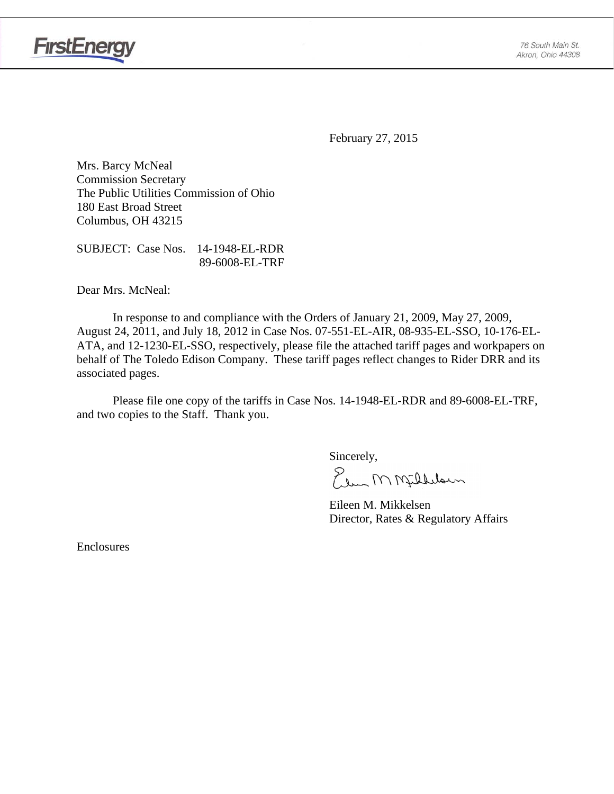

**FirstEnergy** 

February 27, 2015

Mrs. Barcy McNeal Commission Secretary The Public Utilities Commission of Ohio 180 East Broad Street Columbus, OH 43215

SUBJECT: Case Nos. 14-1948-EL-RDR 89-6008-EL-TRF

Dear Mrs. McNeal:

 In response to and compliance with the Orders of January 21, 2009, May 27, 2009, August 24, 2011, and July 18, 2012 in Case Nos. 07-551-EL-AIR, 08-935-EL-SSO, 10-176-EL-ATA, and 12-1230-EL-SSO, respectively, please file the attached tariff pages and workpapers on behalf of The Toledo Edison Company. These tariff pages reflect changes to Rider DRR and its associated pages.

Please file one copy of the tariffs in Case Nos. 14-1948-EL-RDR and 89-6008-EL-TRF, and two copies to the Staff. Thank you.

Sincerely,

Elem M Milleloun

 Eileen M. Mikkelsen Director, Rates & Regulatory Affairs

Enclosures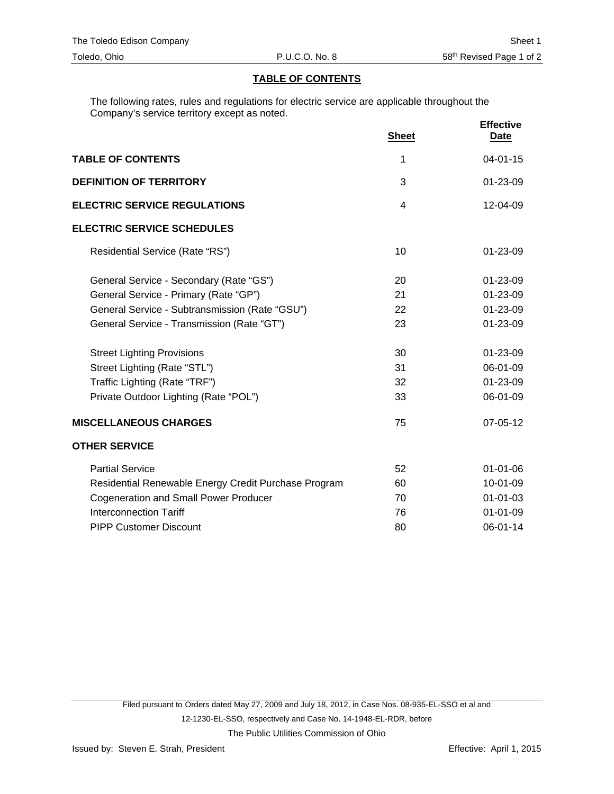## **TABLE OF CONTENTS**

The following rates, rules and regulations for electric service are applicable throughout the Company's service territory except as noted.

|                                                      | <b>Sheet</b> | <b>Effective</b><br>Date |
|------------------------------------------------------|--------------|--------------------------|
| <b>TABLE OF CONTENTS</b>                             | 1            | $04 - 01 - 15$           |
| <b>DEFINITION OF TERRITORY</b>                       | 3            | $01 - 23 - 09$           |
| <b>ELECTRIC SERVICE REGULATIONS</b>                  | 4            | 12-04-09                 |
| <b>ELECTRIC SERVICE SCHEDULES</b>                    |              |                          |
| Residential Service (Rate "RS")                      | 10           | $01 - 23 - 09$           |
| General Service - Secondary (Rate "GS")              | 20           | 01-23-09                 |
| General Service - Primary (Rate "GP")                | 21           | 01-23-09                 |
| General Service - Subtransmission (Rate "GSU")       | 22           | 01-23-09                 |
| General Service - Transmission (Rate "GT")           | 23           | 01-23-09                 |
| <b>Street Lighting Provisions</b>                    | 30           | 01-23-09                 |
| Street Lighting (Rate "STL")                         | 31           | 06-01-09                 |
| Traffic Lighting (Rate "TRF")                        | 32           | 01-23-09                 |
| Private Outdoor Lighting (Rate "POL")                | 33           | 06-01-09                 |
| <b>MISCELLANEOUS CHARGES</b>                         | 75           | 07-05-12                 |
| <b>OTHER SERVICE</b>                                 |              |                          |
| <b>Partial Service</b>                               | 52           | 01-01-06                 |
| Residential Renewable Energy Credit Purchase Program | 60           | 10-01-09                 |
| <b>Cogeneration and Small Power Producer</b>         | 70           | $01 - 01 - 03$           |
| <b>Interconnection Tariff</b>                        | 76           | $01 - 01 - 09$           |
| <b>PIPP Customer Discount</b>                        | 80           | 06-01-14                 |

The Public Utilities Commission of Ohio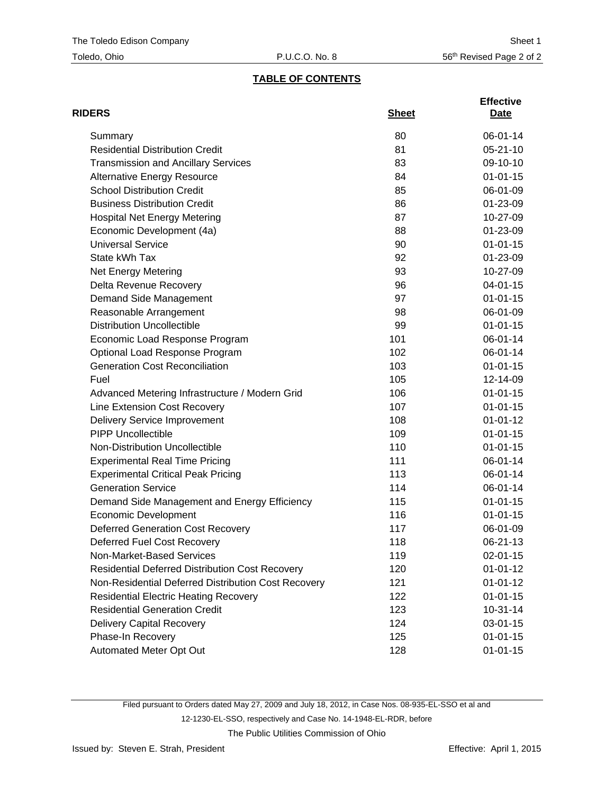# **TABLE OF CONTENTS**

| <b>RIDERS</b>                                          | <b>Sheet</b> | <b>Effective</b><br>Date |
|--------------------------------------------------------|--------------|--------------------------|
| Summary                                                | 80           | 06-01-14                 |
| <b>Residential Distribution Credit</b>                 | 81           | $05 - 21 - 10$           |
| <b>Transmission and Ancillary Services</b>             | 83           | 09-10-10                 |
| <b>Alternative Energy Resource</b>                     | 84           | $01 - 01 - 15$           |
| <b>School Distribution Credit</b>                      | 85           | 06-01-09                 |
| <b>Business Distribution Credit</b>                    | 86           | 01-23-09                 |
| <b>Hospital Net Energy Metering</b>                    | 87           | 10-27-09                 |
| Economic Development (4a)                              | 88           | 01-23-09                 |
| <b>Universal Service</b>                               | 90           | $01 - 01 - 15$           |
| State kWh Tax                                          | 92           | 01-23-09                 |
| Net Energy Metering                                    | 93           | 10-27-09                 |
| Delta Revenue Recovery                                 | 96           | 04-01-15                 |
| Demand Side Management                                 | 97           | $01 - 01 - 15$           |
| Reasonable Arrangement                                 | 98           | 06-01-09                 |
| <b>Distribution Uncollectible</b>                      | 99           | $01 - 01 - 15$           |
| Economic Load Response Program                         | 101          | 06-01-14                 |
| Optional Load Response Program                         | 102          | 06-01-14                 |
| <b>Generation Cost Reconciliation</b>                  | 103          | $01 - 01 - 15$           |
| Fuel                                                   | 105          | 12-14-09                 |
| Advanced Metering Infrastructure / Modern Grid         | 106          | $01 - 01 - 15$           |
| Line Extension Cost Recovery                           | 107          | $01 - 01 - 15$           |
| <b>Delivery Service Improvement</b>                    | 108          | $01 - 01 - 12$           |
| <b>PIPP Uncollectible</b>                              | 109          | $01 - 01 - 15$           |
| Non-Distribution Uncollectible                         | 110          | $01 - 01 - 15$           |
| <b>Experimental Real Time Pricing</b>                  | 111          | 06-01-14                 |
| <b>Experimental Critical Peak Pricing</b>              | 113          | 06-01-14                 |
| <b>Generation Service</b>                              | 114          | 06-01-14                 |
| Demand Side Management and Energy Efficiency           | 115          | $01 - 01 - 15$           |
| <b>Economic Development</b>                            | 116          | $01 - 01 - 15$           |
| <b>Deferred Generation Cost Recovery</b>               | 117          | 06-01-09                 |
| Deferred Fuel Cost Recovery                            | 118          | 06-21-13                 |
| Non-Market-Based Services                              | 119          | $02 - 01 - 15$           |
| <b>Residential Deferred Distribution Cost Recovery</b> | 120          | $01 - 01 - 12$           |
| Non-Residential Deferred Distribution Cost Recovery    | 121          | $01 - 01 - 12$           |
| <b>Residential Electric Heating Recovery</b>           | 122          | $01 - 01 - 15$           |
| <b>Residential Generation Credit</b>                   | 123          | $10-31-14$               |
| <b>Delivery Capital Recovery</b>                       | 124          | 03-01-15                 |
| Phase-In Recovery                                      | 125          | $01 - 01 - 15$           |
| Automated Meter Opt Out                                | 128          | $01 - 01 - 15$           |

Filed pursuant to Orders dated May 27, 2009 and July 18, 2012, in Case Nos. 08-935-EL-SSO et al and 12-1230-EL-SSO, respectively and Case No. 14-1948-EL-RDR, before

The Public Utilities Commission of Ohio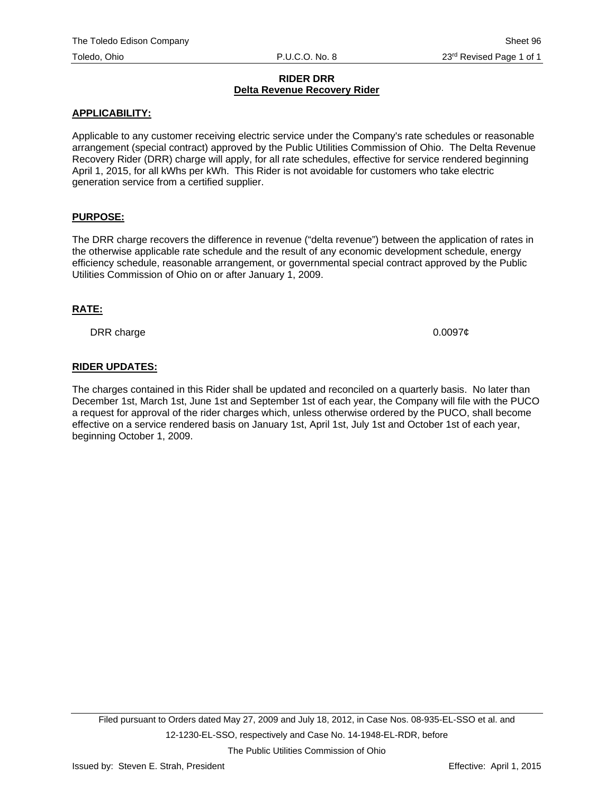#### **RIDER DRR Delta Revenue Recovery Rider**

#### **APPLICABILITY:**

Applicable to any customer receiving electric service under the Company's rate schedules or reasonable arrangement (special contract) approved by the Public Utilities Commission of Ohio. The Delta Revenue Recovery Rider (DRR) charge will apply, for all rate schedules, effective for service rendered beginning April 1, 2015, for all kWhs per kWh. This Rider is not avoidable for customers who take electric generation service from a certified supplier.

## **PURPOSE:**

The DRR charge recovers the difference in revenue ("delta revenue") between the application of rates in the otherwise applicable rate schedule and the result of any economic development schedule, energy efficiency schedule, reasonable arrangement, or governmental special contract approved by the Public Utilities Commission of Ohio on or after January 1, 2009.

#### **RATE:**

DRR charge  $0.0097¢$ 

## **RIDER UPDATES:**

The charges contained in this Rider shall be updated and reconciled on a quarterly basis. No later than December 1st, March 1st, June 1st and September 1st of each year, the Company will file with the PUCO a request for approval of the rider charges which, unless otherwise ordered by the PUCO, shall become effective on a service rendered basis on January 1st, April 1st, July 1st and October 1st of each year, beginning October 1, 2009.

The Public Utilities Commission of Ohio